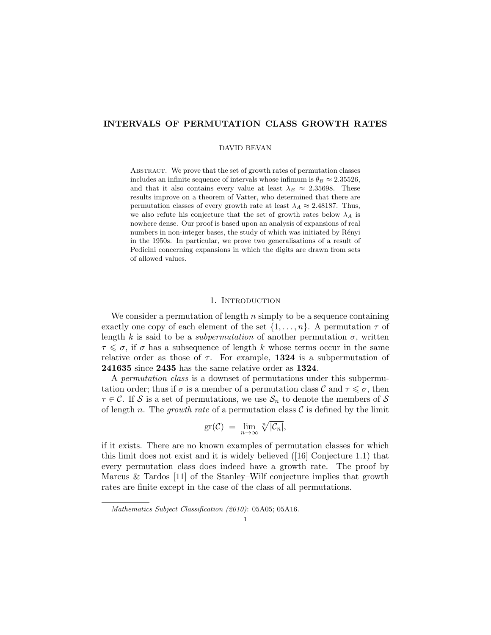# INTERVALS OF PERMUTATION CLASS GROWTH RATES

### DAVID BEVAN

Abstract. We prove that the set of growth rates of permutation classes includes an infinite sequence of intervals whose infimum is  $\theta_B \approx 2.35526$ , and that it also contains every value at least  $\lambda_B \approx 2.35698$ . These results improve on a theorem of Vatter, who determined that there are permutation classes of every growth rate at least  $\lambda_A \approx 2.48187$ . Thus, we also refute his conjecture that the set of growth rates below  $\lambda_A$  is nowhere dense. Our proof is based upon an analysis of expansions of real numbers in non-integer bases, the study of which was initiated by Rényi in the 1950s. In particular, we prove two generalisations of a result of Pedicini concerning expansions in which the digits are drawn from sets of allowed values.

## 1. INTRODUCTION

We consider a permutation of length  $n$  simply to be a sequence containing exactly one copy of each element of the set  $\{1, \ldots, n\}$ . A permutation  $\tau$  of length k is said to be a *subpermutation* of another permutation  $\sigma$ , written  $\tau \leq \sigma$ , if  $\sigma$  has a subsequence of length k whose terms occur in the same relative order as those of  $\tau$ . For example, 1324 is a subpermutation of 241635 since 2435 has the same relative order as 1324.

A permutation class is a downset of permutations under this subpermutation order; thus if  $\sigma$  is a member of a permutation class  $\mathcal C$  and  $\tau \leq \sigma$ , then  $\tau \in \mathcal{C}$ . If S is a set of permutations, we use  $\mathcal{S}_n$  to denote the members of S of length n. The growth rate of a permutation class  $\mathcal C$  is defined by the limit

$$
\mathrm{gr}(\mathcal{C}) = \lim_{n \to \infty} \sqrt[n]{|\mathcal{C}_n|},
$$

if it exists. There are no known examples of permutation classes for which this limit does not exist and it is widely believed ([16] Conjecture 1.1) that every permutation class does indeed have a growth rate. The proof by Marcus & Tardos [11] of the Stanley–Wilf conjecture implies that growth rates are finite except in the case of the class of all permutations.

Mathematics Subject Classification (2010): 05A05; 05A16.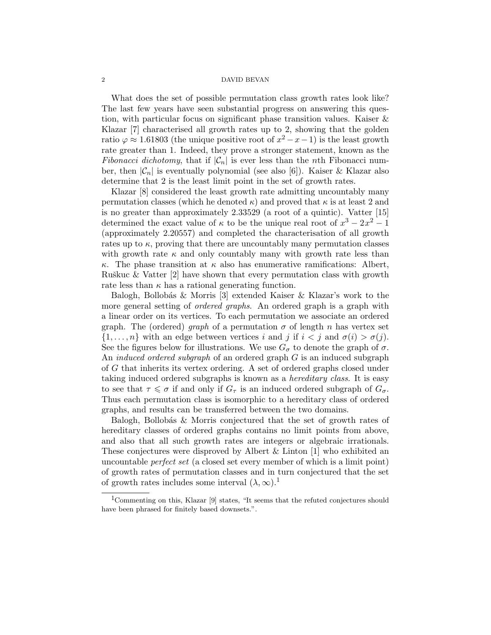What does the set of possible permutation class growth rates look like? The last few years have seen substantial progress on answering this question, with particular focus on significant phase transition values. Kaiser & Klazar [7] characterised all growth rates up to 2, showing that the golden ratio  $\varphi \approx 1.61803$  (the unique positive root of  $x^2 - x - 1$ ) is the least growth rate greater than 1. Indeed, they prove a stronger statement, known as the Fibonacci dichotomy, that if  $|\mathcal{C}_n|$  is ever less than the nth Fibonacci number, then  $|\mathcal{C}_n|$  is eventually polynomial (see also [6]). Kaiser & Klazar also determine that 2 is the least limit point in the set of growth rates.

Klazar [8] considered the least growth rate admitting uncountably many permutation classes (which he denoted  $\kappa$ ) and proved that  $\kappa$  is at least 2 and is no greater than approximately 2.33529 (a root of a quintic). Vatter [15] determined the exact value of  $\kappa$  to be the unique real root of  $x^3 - 2x^2 - 1$ (approximately 2.20557) and completed the characterisation of all growth rates up to  $\kappa$ , proving that there are uncountably many permutation classes with growth rate  $\kappa$  and only countably many with growth rate less than κ. The phase transition at κ also has enumerative ramifications: Albert, Ruškuc & Vatter  $[2]$  have shown that every permutation class with growth rate less than  $\kappa$  has a rational generating function.

Balogh, Bollobás & Morris [3] extended Kaiser & Klazar's work to the more general setting of *ordered graphs*. An ordered graph is a graph with a linear order on its vertices. To each permutation we associate an ordered graph. The (ordered) graph of a permutation  $\sigma$  of length n has vertex set  $\{1,\ldots,n\}$  with an edge between vertices i and j if  $i < j$  and  $\sigma(i) > \sigma(j)$ . See the figures below for illustrations. We use  $G_{\sigma}$  to denote the graph of  $\sigma$ . An *induced ordered subgraph* of an ordered graph G is an induced subgraph of G that inherits its vertex ordering. A set of ordered graphs closed under taking induced ordered subgraphs is known as a hereditary class. It is easy to see that  $\tau \leq \sigma$  if and only if  $G_{\tau}$  is an induced ordered subgraph of  $G_{\sigma}$ . Thus each permutation class is isomorphic to a hereditary class of ordered graphs, and results can be transferred between the two domains.

Balogh, Bollobás & Morris conjectured that the set of growth rates of hereditary classes of ordered graphs contains no limit points from above, and also that all such growth rates are integers or algebraic irrationals. These conjectures were disproved by Albert & Linton [1] who exhibited an uncountable perfect set (a closed set every member of which is a limit point) of growth rates of permutation classes and in turn conjectured that the set of growth rates includes some interval  $(\lambda, \infty)$ .<sup>1</sup>

<sup>1</sup>Commenting on this, Klazar [9] states, "It seems that the refuted conjectures should have been phrased for finitely based downsets.".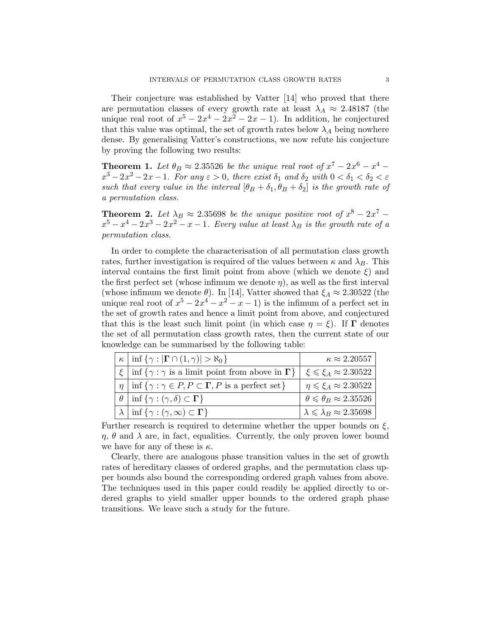Their conjecture was established by Vatter [14] who proved that there are permutation classes of every growth rate at least  $\lambda_A \approx 2.48187$  (the unique real root of  $x^5 - 2x^4 - 2x^2 - 2x - 1$ . In addition, he conjectured that this value was optimal, the set of growth rates below  $\lambda_A$  being nowhere dense. By generalising Vatter's constructions, we now refute his conjecture by proving the following two results:

**Theorem 1.** Let  $\theta_B \approx 2.35526$  be the unique real root of  $x^7 - 2x^6 - x^4$  $x^3 - 2x^2 - 2x - 1$ . For any  $\varepsilon > 0$ , there exist  $\delta_1$  and  $\delta_2$  with  $0 < \delta_1 < \delta_2 < \varepsilon$ such that every value in the interval  $[\theta_B + \delta_1, \theta_B + \delta_2]$  is the growth rate of a permutation class.

**Theorem 2.** Let  $\lambda_B \approx 2.35698$  be the unique positive root of  $x^8 - 2x^7$  $x^5 - x^4 - 2x^3 - 2x^2 - x - 1$ . Every value at least  $\lambda_B$  is the growth rate of a permutation class.

In order to complete the characterisation of all permutation class growth rates, further investigation is required of the values between  $\kappa$  and  $\lambda_B$ . This interval contains the first limit point from above (which we denote  $\xi$ ) and the first perfect set (whose infimum we denote  $\eta$ ), as well as the first interval (whose infimum we denote  $\theta$ ). In [14], Vatter showed that  $\xi_A \approx 2.30522$  (the unique real root of  $x^5 - 2x^4 - x^2 - x - 1$  is the infimum of a perfect set in the set of growth rates and hence a limit point from above, and conjectured that this is the least such limit point (in which case  $\eta = \xi$ ). If  $\Gamma$  denotes the set of all permutation class growth rates, then the current state of our knowledge can be summarised by the following table:

| $\kappa$   inf $\{\gamma :  \mathbf{\Gamma} \cap (1,\gamma)  > \aleph_0\}$                              | $\kappa \approx 2.20557$                      |
|---------------------------------------------------------------------------------------------------------|-----------------------------------------------|
| $\xi$ inf $\{\gamma : \gamma$ is a limit point from above in $\Gamma\}$ $\xi \le \xi_A \approx 2.30522$ |                                               |
| $\eta \mid \inf \{ \gamma : \gamma \in P, P \subset \Gamma, P \text{ is a perfect set} \}$              | $\eta \leq \xi_A \approx 2.30522$             |
| $\theta$   inf { $\gamma$ : $(\gamma, \delta) \subset \Gamma$ }                                         | $\theta \leq \theta_B \approx 2.35526$        |
| $\lambda \mid \inf \{ \gamma : (\gamma, \infty) \subset \Gamma \}$                                      | $\lambda \leqslant \lambda_B \approx 2.35698$ |

Further research is required to determine whether the upper bounds on  $\xi$ ,  $\eta$ ,  $\theta$  and  $\lambda$  are, in fact, equalities. Currently, the only proven lower bound we have for any of these is  $\kappa$ .

Clearly, there are analogous phase transition values in the set of growth rates of hereditary classes of ordered graphs, and the permutation class upper bounds also bound the corresponding ordered graph values from above. The techniques used in this paper could readily be applied directly to ordered graphs to yield smaller upper bounds to the ordered graph phase transitions. We leave such a study for the future.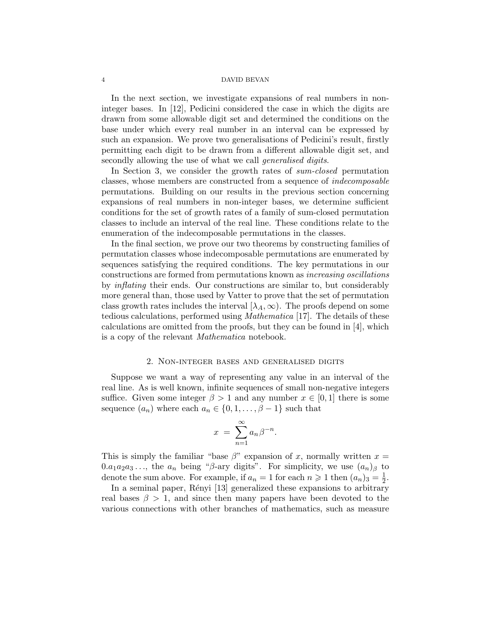In the next section, we investigate expansions of real numbers in noninteger bases. In [12], Pedicini considered the case in which the digits are drawn from some allowable digit set and determined the conditions on the base under which every real number in an interval can be expressed by such an expansion. We prove two generalisations of Pedicini's result, firstly permitting each digit to be drawn from a different allowable digit set, and secondly allowing the use of what we call *generalised digits*.

In Section 3, we consider the growth rates of sum-closed permutation classes, whose members are constructed from a sequence of indecomposable permutations. Building on our results in the previous section concerning expansions of real numbers in non-integer bases, we determine sufficient conditions for the set of growth rates of a family of sum-closed permutation classes to include an interval of the real line. These conditions relate to the enumeration of the indecomposable permutations in the classes.

In the final section, we prove our two theorems by constructing families of permutation classes whose indecomposable permutations are enumerated by sequences satisfying the required conditions. The key permutations in our constructions are formed from permutations known as increasing oscillations by inflating their ends. Our constructions are similar to, but considerably more general than, those used by Vatter to prove that the set of permutation class growth rates includes the interval  $[\lambda_A, \infty)$ . The proofs depend on some tedious calculations, performed using Mathematica [17]. The details of these calculations are omitted from the proofs, but they can be found in [4], which is a copy of the relevant Mathematica notebook.

## 2. Non-integer bases and generalised digits

Suppose we want a way of representing any value in an interval of the real line. As is well known, infinite sequences of small non-negative integers suffice. Given some integer  $\beta > 1$  and any number  $x \in [0,1]$  there is some sequence  $(a_n)$  where each  $a_n \in \{0, 1, \ldots, \beta - 1\}$  such that

$$
x = \sum_{n=1}^{\infty} a_n \beta^{-n}.
$$

This is simply the familiar "base  $\beta$ " expansion of x, normally written  $x =$  $0.a_1a_2a_3\ldots$ , the  $a_n$  being "β-ary digits". For simplicity, we use  $(a_n)_\beta$  to denote the sum above. For example, if  $a_n = 1$  for each  $n \geq 1$  then  $(a_n)_3 = \frac{1}{2}$  $rac{1}{2}$ .

In a seminal paper, Rényi [13] generalized these expansions to arbitrary real bases  $\beta > 1$ , and since then many papers have been devoted to the various connections with other branches of mathematics, such as measure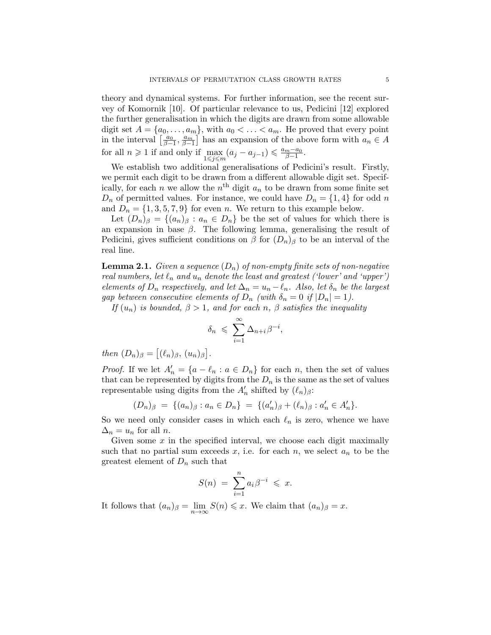theory and dynamical systems. For further information, see the recent survey of Komornik [10]. Of particular relevance to us, Pedicini [12] explored the further generalisation in which the digits are drawn from some allowable digit set  $A = \{a_0, \ldots, a_m\}$ , with  $a_0 < \ldots < a_m$ . He proved that every point in the interval  $\left[\frac{a_0}{\beta-1}, \frac{a_m}{\beta-1}\right]$  has an expansion of the above form with  $a_n \in A$ for all  $n \geq 1$  if and only if  $\max_{1 \leq j \leq m} (a_j - a_{j-1}) \leq \frac{a_m - a_0}{\beta - 1}$ .

We establish two additional generalisations of Pedicini's result. Firstly, we permit each digit to be drawn from a different allowable digit set. Specifically, for each n we allow the  $n<sup>th</sup>$  digit  $a_n$  to be drawn from some finite set  $D_n$  of permitted values. For instance, we could have  $D_n = \{1, 4\}$  for odd n and  $D_n = \{1, 3, 5, 7, 9\}$  for even n. We return to this example below.

Let  $(D_n)_{\beta} = \{(a_n)_{\beta}: a_n \in D_n\}$  be the set of values for which there is an expansion in base  $\beta$ . The following lemma, generalising the result of Pedicini, gives sufficient conditions on  $\beta$  for  $(D_n)_{\beta}$  to be an interval of the real line.

**Lemma 2.1.** Given a sequence  $(D_n)$  of non-empty finite sets of non-negative real numbers, let  $\ell_n$  and  $u_n$  denote the least and greatest ('lower' and 'upper') elements of  $D_n$  respectively, and let  $\Delta_n = u_n - \ell_n$ . Also, let  $\delta_n$  be the largest gap between consecutive elements of  $D_n$  (with  $\delta_n = 0$  if  $|D_n| = 1$ ).

If  $(u_n)$  is bounded,  $\beta > 1$ , and for each n,  $\beta$  satisfies the inequality

$$
\delta_n \leqslant \sum_{i=1}^{\infty} \Delta_{n+i} \beta^{-i},
$$

then  $(D_n)_{\beta} = [(\ell_n)_{\beta}, (u_n)_{\beta}].$ 

*Proof.* If we let  $A'_n = \{a - \ell_n : a \in D_n\}$  for each n, then the set of values that can be represented by digits from the  $D_n$  is the same as the set of values representable using digits from the  $A'_n$  shifted by  $(\ell_n)_{\beta}$ :

$$
(D_n)_{\beta} = \{ (a_n)_{\beta} : a_n \in D_n \} = \{ (a'_n)_{\beta} + (\ell_n)_{\beta} : a'_n \in A'_n \}.
$$

So we need only consider cases in which each  $\ell_n$  is zero, whence we have  $\Delta_n = u_n$  for all *n*.

Given some  $x$  in the specified interval, we choose each digit maximally such that no partial sum exceeds x, i.e. for each n, we select  $a_n$  to be the greatest element of  $D_n$  such that

$$
S(n) = \sum_{i=1}^{n} a_i \beta^{-i} \leqslant x.
$$

It follows that  $(a_n)_{\beta} = \lim_{n \to \infty} S(n) \leq x$ . We claim that  $(a_n)_{\beta} = x$ .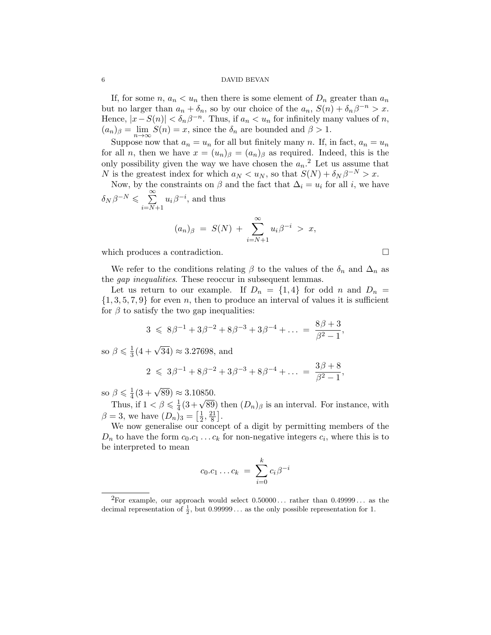If, for some  $n, a_n < u_n$  then there is some element of  $D_n$  greater than  $a_n$ but no larger than  $a_n + \delta_n$ , so by our choice of the  $a_n$ ,  $S(n) + \delta_n \beta^{-n} > x$ . Hence,  $|x - S(n)| < \delta_n \beta^{-n}$ . Thus, if  $a_n < u_n$  for infinitely many values of n,  $(a_n)_{\beta} = \lim_{n \to \infty} S(n) = x$ , since the  $\delta_n$  are bounded and  $\beta > 1$ .

Suppose now that  $a_n = u_n$  for all but finitely many n. If, in fact,  $a_n = u_n$ for all n, then we have  $x = (u_n)_{\beta} = (a_n)_{\beta}$  as required. Indeed, this is the only possibility given the way we have chosen the  $a_n$ .<sup>2</sup> Let us assume that N is the greatest index for which  $a_N < u_N$ , so that  $S(N) + \delta_N \beta^{-N} > x$ .

Now, by the constraints on  $\beta$  and the fact that  $\Delta_i = u_i$  for all i, we have  $\delta_N \beta^{-N} \leqslant \sum_{i=1}^\infty$  $i=N+1$  $u_i\beta^{-i}$ , and thus

$$
(a_n)_{\beta} = S(N) + \sum_{i=N+1}^{\infty} u_i \beta^{-i} > x,
$$

which produces a contradiction.

,

We refer to the conditions relating  $\beta$  to the values of the  $\delta_n$  and  $\Delta_n$  as the gap inequalities. These reoccur in subsequent lemmas.

Let us return to our example. If  $D_n = \{1,4\}$  for odd n and  $D_n =$  $\{1, 3, 5, 7, 9\}$  for even n, then to produce an interval of values it is sufficient for  $\beta$  to satisfy the two gap inequalities:

$$
3 \leq 8\beta^{-1} + 3\beta^{-2} + 8\beta^{-3} + 3\beta^{-4} + \dots = \frac{8\beta + 3}{\beta^2 - 1},
$$

so  $\beta \leqslant \frac{1}{3}$  $\frac{1}{3}(4+\sqrt{34}) \approx 3.27698$ , and

$$
2 \leq 3\beta^{-1} + 8\beta^{-2} + 3\beta^{-3} + 8\beta^{-4} + \dots = \frac{3\beta + 8}{\beta^2 - 1}
$$

so  $\beta \leqslant \frac{1}{4}$  $\frac{1}{4}(3+\sqrt{89}) \approx 3.10850.$ 

Thus, if  $1 < \beta \leq \frac{1}{4}$  $\frac{1}{4}(3+\sqrt{89})$  then  $(D_n)_\beta$  is an interval. For instance, with  $\beta = 3$ , we have  $(D_n)_3 = \left[\frac{1}{2}\right]$  $\frac{1}{2}$ ,  $\frac{21}{8}$  $\frac{21}{8}$ .

We now generalise our concept of a digit by permitting members of the  $D_n$  to have the form  $c_0.c_1 \ldots c_k$  for non-negative integers  $c_i$ , where this is to be interpreted to mean

$$
c_0.c_1 \ldots c_k = \sum_{i=0}^k c_i \beta^{-i}
$$

<sup>&</sup>lt;sup>2</sup>For example, our approach would select  $0.50000...$  rather than  $0.49999...$  as the decimal representation of  $\frac{1}{2}$ , but 0.99999... as the only possible representation for 1.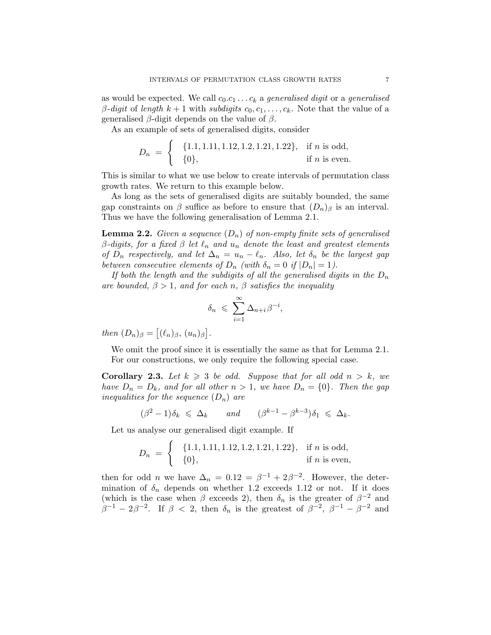as would be expected. We call  $c_0.c_1 \ldots c_k$  a generalised digit or a generalised β-digit of length  $k+1$  with subdigits  $c_0, c_1, \ldots, c_k$ . Note that the value of a generalised  $\beta$ -digit depends on the value of  $\beta$ .

As an example of sets of generalised digits, consider

$$
D_n = \begin{cases} \{1.1, 1.11, 1.12, 1.2, 1.21, 1.22\}, & \text{if } n \text{ is odd,} \\ \{0\}, & \text{if } n \text{ is even.} \end{cases}
$$

This is similar to what we use below to create intervals of permutation class growth rates. We return to this example below.

As long as the sets of generalised digits are suitably bounded, the same gap constraints on  $\beta$  suffice as before to ensure that  $(D_n)_{\beta}$  is an interval. Thus we have the following generalisation of Lemma 2.1.

**Lemma 2.2.** Given a sequence  $(D_n)$  of non-empty finite sets of generalised β-digits, for a fixed β let  $\ell_n$  and  $u_n$  denote the least and greatest elements of  $D_n$  respectively, and let  $\Delta_n = u_n - \ell_n$ . Also, let  $\delta_n$  be the largest gap between consecutive elements of  $D_n$  (with  $\delta_n = 0$  if  $|D_n| = 1$ ).

If both the length and the subdigits of all the generalised digits in the  $D_n$ are bounded,  $\beta > 1$ , and for each n,  $\beta$  satisfies the inequality

$$
\delta_n \leqslant \sum_{i=1}^{\infty} \Delta_{n+i} \beta^{-i},
$$

then  $(D_n)_{\beta} = [(\ell_n)_{\beta}, (u_n)_{\beta}].$ 

We omit the proof since it is essentially the same as that for Lemma 2.1. For our constructions, we only require the following special case.

**Corollary 2.3.** Let  $k \geq 3$  be odd. Suppose that for all odd  $n > k$ , we have  $D_n = D_k$ , and for all other  $n > 1$ , we have  $D_n = \{0\}$ . Then the gap inequalities for the sequence  $(D_n)$  are

$$
(\beta^2 - 1)\delta_k \leq \Delta_k \quad \text{and} \quad (\beta^{k-1} - \beta^{k-3})\delta_1 \leq \Delta_k.
$$

Let us analyse our generalised digit example. If

$$
D_n = \begin{cases} \{1.1, 1.11, 1.12, 1.2, 1.21, 1.22\}, & \text{if } n \text{ is odd,} \\ \{0\}, & \text{if } n \text{ is even,} \end{cases}
$$

then for odd *n* we have  $\Delta_n = 0.12 = \beta^{-1} + 2\beta^{-2}$ . However, the determination of  $\delta_n$  depends on whether 1.2 exceeds 1.12 or not. If it does (which is the case when  $\beta$  exceeds 2), then  $\delta_n$  is the greater of  $\beta^{-2}$  and  $\beta^{-1} - 2\beta^{-2}$ . If  $\beta < 2$ , then  $\delta_n$  is the greatest of  $\beta^{-2}$ ,  $\beta^{-1} - \beta^{-2}$  and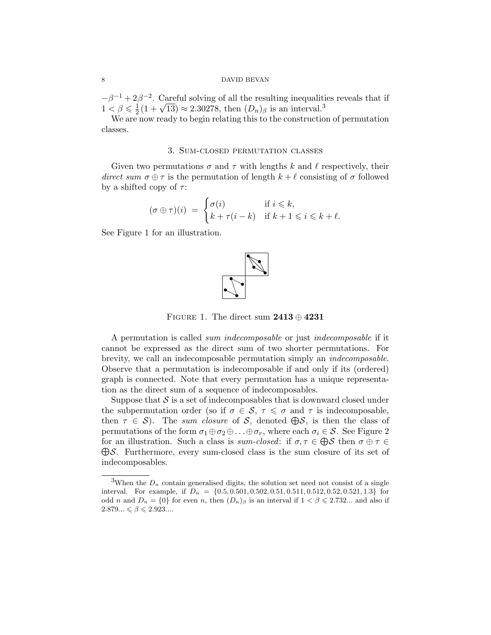$-\beta^{-1} + 2\beta^{-2}$ . Careful solving of all the resulting inequalities reveals that if  $1 < \beta \leqslant \frac{1}{2}$  $\frac{1}{2}(1+\sqrt{13}) \approx 2.30278$ , then  $(D_n)_\beta$  is an interval.<sup>3</sup>

We are now ready to begin relating this to the construction of permutation classes.

## 3. Sum-closed permutation classes

Given two permutations  $\sigma$  and  $\tau$  with lengths k and l respectively, their direct sum  $\sigma \oplus \tau$  is the permutation of length  $k + \ell$  consisting of  $\sigma$  followed by a shifted copy of  $\tau$ :

$$
(\sigma \oplus \tau)(i) = \begin{cases} \sigma(i) & \text{if } i \leq k, \\ k + \tau(i - k) & \text{if } k + 1 \leq i \leq k + \ell. \end{cases}
$$

See Figure 1 for an illustration.



FIGURE 1. The direct sum  $2413 \oplus 4231$ 

A permutation is called sum indecomposable or just indecomposable if it cannot be expressed as the direct sum of two shorter permutations. For brevity, we call an indecomposable permutation simply an indecomposable. Observe that a permutation is indecomposable if and only if its (ordered) graph is connected. Note that every permutation has a unique representation as the direct sum of a sequence of indecomposables.

Suppose that  $S$  is a set of indecomposables that is downward closed under the subpermutation order (so if  $\sigma \in \mathcal{S}$ ,  $\tau \leq \sigma$  and  $\tau$  is indecomposable, then  $\tau \in S$ ). The sum closure of S, denoted  $\bigoplus S$ , is then the class of permutations of the form  $\sigma_1 \oplus \sigma_2 \oplus \ldots \oplus \sigma_r$ , where each  $\sigma_i \in \mathcal{S}$ . See Figure 2 for an illustration. Such a class is sum-closed: if  $\sigma, \tau \in \bigoplus \mathcal{S}$  then  $\sigma \oplus \tau \in$  $\bigoplus S$ . Furthermore, every sum-closed class is the sum closure of its set of indecomposables.

<sup>&</sup>lt;sup>3</sup>When the  $D_n$  contain generalised digits, the solution set need not consist of a single interval. For example, if  $D_n = \{0.5, 0.501, 0.502, 0.51, 0.511, 0.512, 0.52, 0.521, 1.3\}$  for odd n and  $D_n = \{0\}$  for even n, then  $(D_n)_{\beta}$  is an interval if  $1 < \beta \leq 2.732...$  and also if  $2.879... \leq \beta \leqslant 2.923...$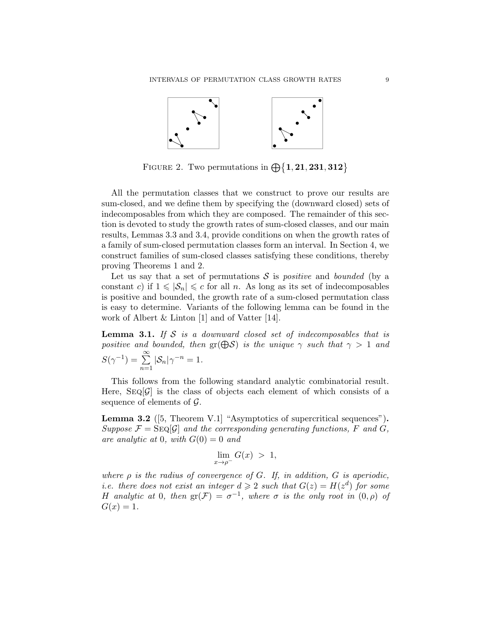

FIGURE 2. Two permutations in  $\bigoplus \{1, 21, 231, 312\}$ 

All the permutation classes that we construct to prove our results are sum-closed, and we define them by specifying the (downward closed) sets of indecomposables from which they are composed. The remainder of this section is devoted to study the growth rates of sum-closed classes, and our main results, Lemmas 3.3 and 3.4, provide conditions on when the growth rates of a family of sum-closed permutation classes form an interval. In Section 4, we construct families of sum-closed classes satisfying these conditions, thereby proving Theorems 1 and 2.

Let us say that a set of permutations  $\mathcal S$  is *positive* and *bounded* (by a constant c) if  $1 \leq |\mathcal{S}_n| \leq c$  for all n. As long as its set of indecomposables is positive and bounded, the growth rate of a sum-closed permutation class is easy to determine. Variants of the following lemma can be found in the work of Albert & Linton [1] and of Vatter [14].

**Lemma 3.1.** If  $S$  is a downward closed set of indecomposables that is positive and bounded, then  $gr(\bigoplus S)$  is the unique  $\gamma$  such that  $\gamma > 1$  and  $S(\gamma^{-1}) = \sum_{n=1}^{\infty}$  $n=1$  $|\mathcal{S}_n|\gamma^{-n} = 1.$ 

This follows from the following standard analytic combinatorial result. Here,  $\text{SEQ}[\mathcal{G}]$  is the class of objects each element of which consists of a sequence of elements of  $\mathcal{G}$ .

**Lemma 3.2** ([5, Theorem V.1] "Asymptotics of supercritical sequences"). Suppose  $\mathcal{F} = \text{Seq}[\mathcal{G}]$  and the corresponding generating functions, F and G, are analytic at 0, with  $G(0) = 0$  and

$$
\lim_{x \to \rho^-} G(x) > 1,
$$

where  $\rho$  is the radius of convergence of G. If, in addition, G is aperiodic, *i.e.* there does not exist an integer  $d \geq 2$  such that  $G(z) = H(z^d)$  for some H analytic at 0, then  $gr(\mathcal{F}) = \sigma^{-1}$ , where  $\sigma$  is the only root in  $(0, \rho)$  of  $G(x) = 1.$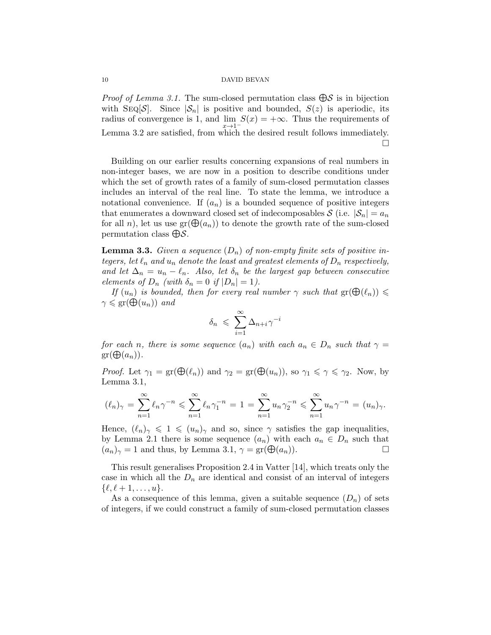*Proof of Lemma 3.1.* The sum-closed permutation class  $\bigoplus \mathcal{S}$  is in bijection with  $\text{Seq}[\mathcal{S}]$ . Since  $|\mathcal{S}_n|$  is positive and bounded,  $S(z)$  is aperiodic, its radius of convergence is 1, and  $\lim_{x\to 1^-} S(x) = +\infty$ . Thus the requirements of Lemma 3.2 are satisfied, from which the desired result follows immediately.  $\Box$ 

Building on our earlier results concerning expansions of real numbers in non-integer bases, we are now in a position to describe conditions under which the set of growth rates of a family of sum-closed permutation classes includes an interval of the real line. To state the lemma, we introduce a notational convenience. If  $(a_n)$  is a bounded sequence of positive integers that enumerates a downward closed set of indecomposables  $S$  (i.e.  $|S_n| = a_n$ ) for all *n*), let us use  $gr(\bigoplus (a_n))$  to denote the growth rate of the sum-closed permutation class  $\bigoplus \mathcal{S}.$ 

**Lemma 3.3.** Given a sequence  $(D_n)$  of non-empty finite sets of positive integers, let  $\ell_n$  and  $u_n$  denote the least and greatest elements of  $D_n$  respectively, and let  $\Delta_n = u_n - \ell_n$ . Also, let  $\delta_n$  be the largest gap between consecutive elements of  $D_n$  (with  $\delta_n = 0$  if  $|D_n| = 1$ ).

If  $(u_n)$  is bounded, then for every real number  $\gamma$  such that  $\text{gr}(\bigoplus(\ell_n)) \leq$  $\gamma \leqslant \mathrm{gr}(\overline{\bigoplus}(u_n))$  and

$$
\delta_n \; \leqslant \; \sum_{i=1}^{\infty} \Delta_{n+i} \gamma^{-i}
$$

for each n, there is some sequence  $(a_n)$  with each  $a_n \in D_n$  such that  $\gamma =$  $gr(\bigoplus (a_n))$ .

*Proof.* Let  $\gamma_1 = \text{gr}(\bigoplus(\ell_n))$  and  $\gamma_2 = \text{gr}(\bigoplus(u_n))$ , so  $\gamma_1 \leq \gamma \leq \gamma_2$ . Now, by Lemma 3.1,

$$
(\ell_n)_{\gamma} = \sum_{n=1}^{\infty} \ell_n \gamma^{-n} \leqslant \sum_{n=1}^{\infty} \ell_n \gamma_1^{-n} = 1 = \sum_{n=1}^{\infty} u_n \gamma_2^{-n} \leqslant \sum_{n=1}^{\infty} u_n \gamma^{-n} = (u_n)_{\gamma}.
$$

Hence,  $(\ell_n)_{\gamma} \leq 1 \leq (u_n)_{\gamma}$  and so, since  $\gamma$  satisfies the gap inequalities, by Lemma 2.1 there is some sequence  $(a_n)$  with each  $a_n \in D_n$  such that  $(a_n)_{\gamma} = 1$  and thus, by Lemma 3.1,  $\gamma = \text{gr}(\bigoplus (a_n)).$ 

This result generalises Proposition 2.4 in Vatter [14], which treats only the case in which all the  $D_n$  are identical and consist of an interval of integers  $\{\ell, \ell + 1, \ldots, u\}.$ 

As a consequence of this lemma, given a suitable sequence  $(D_n)$  of sets of integers, if we could construct a family of sum-closed permutation classes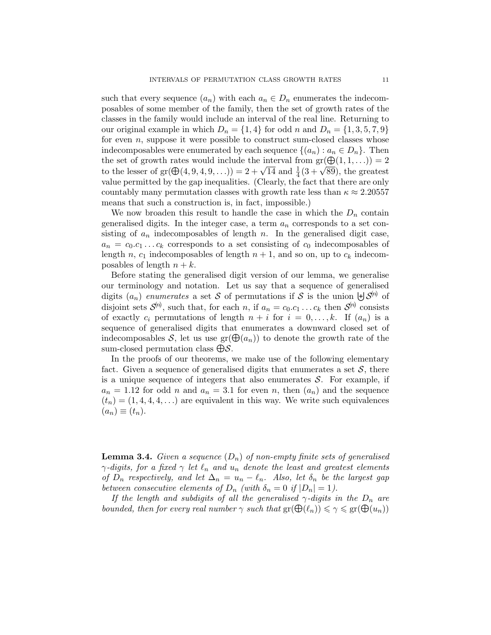such that every sequence  $(a_n)$  with each  $a_n \in D_n$  enumerates the indecomposables of some member of the family, then the set of growth rates of the classes in the family would include an interval of the real line. Returning to our original example in which  $D_n = \{1, 4\}$  for odd n and  $D_n = \{1, 3, 5, 7, 9\}$ for even  $n$ , suppose it were possible to construct sum-closed classes whose indecomposables were enumerated by each sequence  $\{(a_n): a_n \in D_n\}$ . Then the set of growth rates would include the interval from  $\text{gr}(\bigoplus (1, 1, \ldots)) = 2$ the set of growth rates would include the interval from  $gr(\bigoplus (1, 1, \ldots)) = 2$ <br>to the lesser of  $gr(\bigoplus (4, 9, 4, 9, \ldots)) = 2 + \sqrt{14}$  and  $\frac{1}{4}(3 + \sqrt{89})$ , the greatest value permitted by the gap inequalities. (Clearly, the fact that there are only countably many permutation classes with growth rate less than  $\kappa \approx 2.20557$ means that such a construction is, in fact, impossible.)

We now broaden this result to handle the case in which the  $D_n$  contain generalised digits. In the integer case, a term  $a_n$  corresponds to a set consisting of  $a_n$  indecomposables of length n. In the generalised digit case,  $a_n = c_0.c_1 \ldots c_k$  corresponds to a set consisting of  $c_0$  indecomposables of length n,  $c_1$  indecomposables of length  $n + 1$ , and so on, up to  $c_k$  indecomposables of length  $n + k$ .

Before stating the generalised digit version of our lemma, we generalise our terminology and notation. Let us say that a sequence of generalised digits  $(a_n)$  enumerates a set S of permutations if S is the union  $\biguplus_{n=1}^{\infty} S^{(n)}$  of disjoint sets  $\mathcal{S}^{(n)}$ , such that, for each n, if  $a_n = c_0.c_1 \dots c_k$  then  $\mathcal{S}^{(n)}$  consists of exactly  $c_i$  permutations of length  $n + i$  for  $i = 0, \ldots, k$ . If  $(a_n)$  is a sequence of generalised digits that enumerates a downward closed set of indecomposables S, let us use  $gr(\bigoplus(a_n))$  to denote the growth rate of the sum-closed permutation class  $\bigoplus \mathcal{S}$ .

In the proofs of our theorems, we make use of the following elementary fact. Given a sequence of generalised digits that enumerates a set  $S$ , there is a unique sequence of integers that also enumerates  $S$ . For example, if  $a_n = 1.12$  for odd n and  $a_n = 3.1$  for even n, then  $(a_n)$  and the sequence  $(t_n) = (1, 4, 4, 4, ...)$  are equivalent in this way. We write such equivalences  $(a_n) \equiv (t_n).$ 

**Lemma 3.4.** Given a sequence  $(D_n)$  of non-empty finite sets of generalised  $\gamma$ -digits, for a fixed  $\gamma$  let  $\ell_n$  and  $u_n$  denote the least and greatest elements of  $D_n$  respectively, and let  $\Delta_n = u_n - \ell_n$ . Also, let  $\delta_n$  be the largest gap between consecutive elements of  $D_n$  (with  $\delta_n = 0$  if  $|D_n| = 1$ ).

If the length and subdigits of all the generalised  $\gamma$ -digits in the  $D_n$  are bounded, then for every real number  $\gamma$  such that  $\text{gr}(\bigoplus(\ell_n)) \leq \gamma \leq \text{gr}(\bigoplus(u_n))$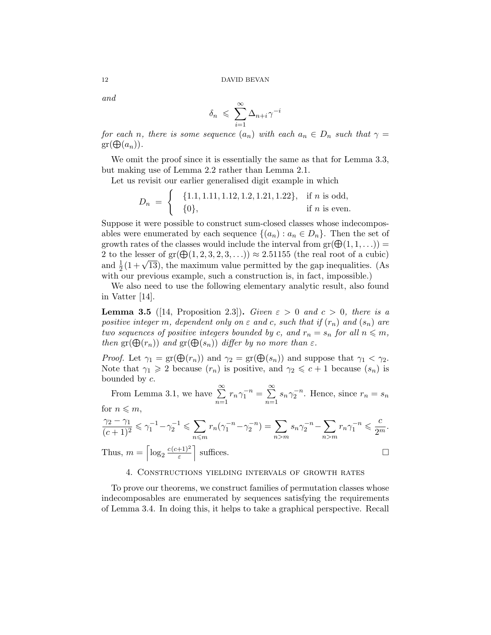and

$$
\delta_n \ \leqslant \ \sum_{i=1}^{\infty} \Delta_{n+i} \gamma^{-i}
$$

for each n, there is some sequence  $(a_n)$  with each  $a_n \in D_n$  such that  $\gamma =$  $gr(\bigoplus (a_n))$ .

We omit the proof since it is essentially the same as that for Lemma 3.3, but making use of Lemma 2.2 rather than Lemma 2.1.

Let us revisit our earlier generalised digit example in which

$$
D_n = \begin{cases} \{1.1, 1.11, 1.12, 1.2, 1.21, 1.22\}, & \text{if } n \text{ is odd,} \\ \{0\}, & \text{if } n \text{ is even.} \end{cases}
$$

Suppose it were possible to construct sum-closed classes whose indecomposables were enumerated by each sequence  $\{(a_n): a_n \in D_n\}$ . Then the set of growth rates of the classes would include the interval from  $\text{gr}(\bigoplus (1,1,\ldots)) =$ 2 to the lesser of  $gr(\bigoplus (1, 2, 3, 2, 3, ...) \approx 2.51155$  (the real root of a cubic) 2 to the lesser of  $gr(\bigoplus (1, 2, 3, 2, 3, ...)$   $\approx$  2.31133 (the real root of a cubic) and  $\frac{1}{2}(1+\sqrt{13})$ , the maximum value permitted by the gap inequalities. (As with our previous example, such a construction is, in fact, impossible.)

We also need to use the following elementary analytic result, also found in Vatter [14].

**Lemma 3.5** ([14, Proposition 2.3]). Given  $\varepsilon > 0$  and  $c > 0$ , there is a positive integer m, dependent only on  $\varepsilon$  and c, such that if  $(r_n)$  and  $(s_n)$  are two sequences of positive integers bounded by c, and  $r_n = s_n$  for all  $n \leq m$ , then  $gr(\bigoplus(r_n))$  and  $gr(\bigoplus(s_n))$  differ by no more than  $\varepsilon$ .

*Proof.* Let  $\gamma_1 = \text{gr}(\bigoplus(r_n))$  and  $\gamma_2 = \text{gr}(\bigoplus(s_n))$  and suppose that  $\gamma_1 < \gamma_2$ . Note that  $\gamma_1 \geq 2$  because  $(r_n)$  is positive, and  $\gamma_2 \leq c+1$  because  $(s_n)$  is bounded by c.

From Lemma 3.1, we have  $\sum_{n=1}^{\infty}$  $n=1$  $r_n \gamma_1^{-n} = \sum_{n=1}^{\infty}$  $n=1$  $s_n \gamma_2^{-n}$ . Hence, since  $r_n = s_n$ for  $n \leq m$ ,

$$
\frac{\gamma_2 - \gamma_1}{(c+1)^2} \leqslant \gamma_1^{-1} - \gamma_2^{-1} \leqslant \sum_{n \leqslant m} r_n(\gamma_1^{-n} - \gamma_2^{-n}) = \sum_{n > m} s_n \gamma_2^{-n} - \sum_{n > m} r_n \gamma_1^{-n} \leqslant \frac{c}{2^m}.
$$
\nThus, 
$$
m = \left\lceil \log_2 \frac{c(c+1)^2}{\varepsilon} \right\rceil
$$
 suffices.

## 4. Constructions yielding intervals of growth rates

To prove our theorems, we construct families of permutation classes whose indecomposables are enumerated by sequences satisfying the requirements of Lemma 3.4. In doing this, it helps to take a graphical perspective. Recall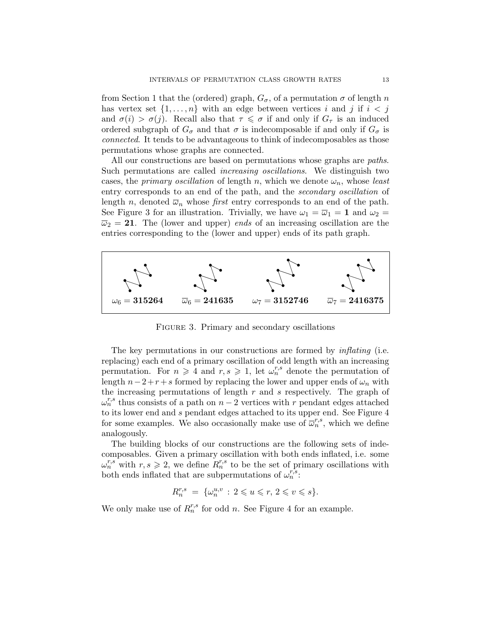from Section 1 that the (ordered) graph,  $G_{\sigma}$ , of a permutation  $\sigma$  of length n has vertex set  $\{1, \ldots, n\}$  with an edge between vertices i and j if  $i < j$ and  $\sigma(i) > \sigma(j)$ . Recall also that  $\tau \leq \sigma$  if and only if  $G_{\tau}$  is an induced ordered subgraph of  $G_{\sigma}$  and that  $\sigma$  is indecomposable if and only if  $G_{\sigma}$  is connected. It tends to be advantageous to think of indecomposables as those permutations whose graphs are connected.

All our constructions are based on permutations whose graphs are *paths*. Such permutations are called increasing oscillations. We distinguish two cases, the *primary oscillation* of length n, which we denote  $\omega_n$ , whose least entry corresponds to an end of the path, and the secondary oscillation of length n, denoted  $\overline{\omega}_n$  whose *first* entry corresponds to an end of the path. See Figure 3 for an illustration. Trivially, we have  $\omega_1 = \overline{\omega}_1 = 1$  and  $\omega_2 =$  $\overline{\omega}_2 = 21$ . The (lower and upper) ends of an increasing oscillation are the entries corresponding to the (lower and upper) ends of its path graph.



Figure 3. Primary and secondary oscillations

The key permutations in our constructions are formed by *inflating* (i.e. replacing) each end of a primary oscillation of odd length with an increasing permutation. For  $n \geq 4$  and  $r, s \geq 1$ , let  $\omega_n^{r,s}$  denote the permutation of length  $n-2+r+s$  formed by replacing the lower and upper ends of  $\omega_n$  with the increasing permutations of length  $r$  and  $s$  respectively. The graph of  $\omega_n^{r,s}$  thus consists of a path on  $n-2$  vertices with r pendant edges attached to its lower end and s pendant edges attached to its upper end. See Figure 4 for some examples. We also occasionally make use of  $\overline{\omega}_n^{r,s}$ , which we define analogously.

The building blocks of our constructions are the following sets of indecomposables. Given a primary oscillation with both ends inflated, i.e. some  $\omega_n^{r,s}$  with  $r,s\geqslant 2$ , we define  $R_n^{r,s}$  to be the set of primary oscillations with both ends inflated that are subpermutations of  $\omega_n^{r,s}$ .

$$
R_n^{r,s} = \{\omega_n^{u,v} : 2 \leqslant u \leqslant r, 2 \leqslant v \leqslant s\}.
$$

We only make use of  $R_n^{r,s}$  for odd n. See Figure 4 for an example.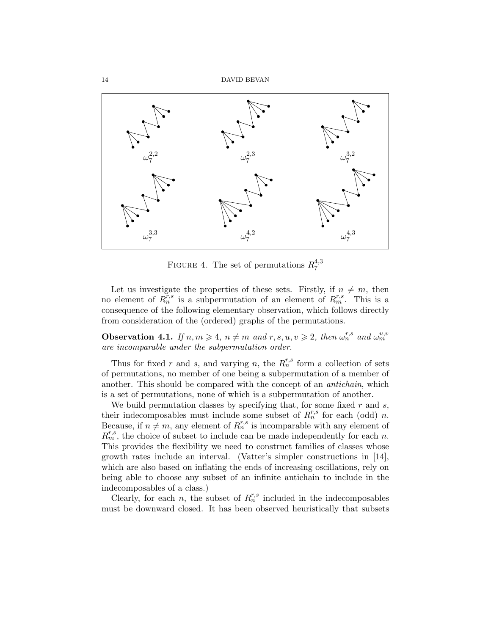

FIGURE 4. The set of permutations  $R_7^{4,3}$ 7

Let us investigate the properties of these sets. Firstly, if  $n \neq m$ , then no element of  $R_n^{r,s}$  is a subpermutation of an element of  $R_m^{r,s}$ . This is a consequence of the following elementary observation, which follows directly from consideration of the (ordered) graphs of the permutations.

**Observation 4.1.** If  $n, m \ge 4$ ,  $n \ne m$  and  $r, s, u, v \ge 2$ , then  $\omega_n^{r,s}$  and  $\omega_m^{u,v}$ are incomparable under the subpermutation order.

Thus for fixed r and s, and varying n, the  $R_n^{r,s}$  form a collection of sets of permutations, no member of one being a subpermutation of a member of another. This should be compared with the concept of an antichain, which is a set of permutations, none of which is a subpermutation of another.

We build permutation classes by specifying that, for some fixed  $r$  and  $s$ , their indecomposables must include some subset of  $R_n^{r,s}$  for each (odd) n. Because, if  $n \neq m$ , any element of  $R_n^{r,s}$  is incomparable with any element of  $R_m^{r,s}$ , the choice of subset to include can be made independently for each n. This provides the flexibility we need to construct families of classes whose growth rates include an interval. (Vatter's simpler constructions in [14], which are also based on inflating the ends of increasing oscillations, rely on being able to choose any subset of an infinite antichain to include in the indecomposables of a class.)

Clearly, for each n, the subset of  $R_n^{r,s}$  included in the indecomposables must be downward closed. It has been observed heuristically that subsets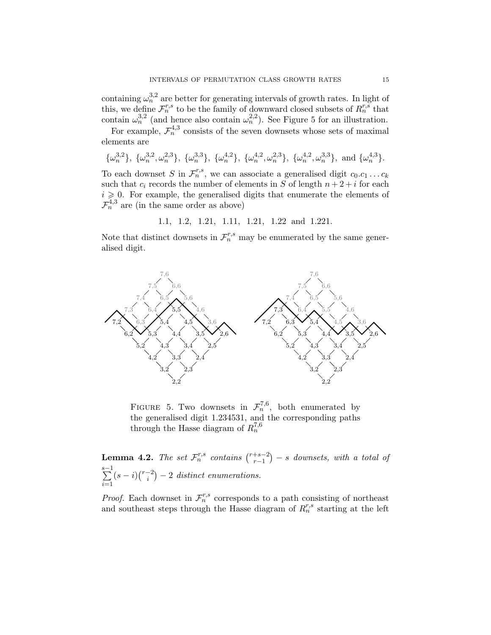containing  $\omega_n^{3,2}$  are better for generating intervals of growth rates. In light of this, we define  $\mathcal{F}_n^{r,s}$  to be the family of downward closed subsets of  $R_n^{r,s}$  that contain  $\omega_n^{3,2}$  (and hence also contain  $\omega_n^{2,2}$ ). See Figure 5 for an illustration.

For example,  $\mathcal{F}_n^{4,3}$  consists of the seven downsets whose sets of maximal elements are

$$
\{\omega_n^{3,2}\}, \{\omega_n^{3,2}, \omega_n^{2,3}\}, \{\omega_n^{3,3}\}, \{\omega_n^{4,2}\}, \{\omega_n^{4,2}, \omega_n^{2,3}\}, \{\omega_n^{4,2}, \omega_n^{3,3}\}, \text{ and } \{\omega_n^{4,3}\}.
$$

To each downset S in  $\mathcal{F}_n^{r,s}$ , we can associate a generalised digit  $c_0.c_1 \ldots c_k$ such that  $c_i$  records the number of elements in S of length  $n + 2 + i$  for each  $i \geq 0$ . For example, the generalised digits that enumerate the elements of  $\mathcal{F}_n^{4,3}$  are (in the same order as above)

1.1, 1.2, 1.21, 1.11, 1.21, 1.22 and 1.221.

Note that distinct downsets in  $\mathcal{F}_n^{r,s}$  may be enumerated by the same generalised digit.



FIGURE 5. Two downsets in  $\mathcal{F}_n^{7,6}$ , both enumerated by the generalised digit 1.234531, and the corresponding paths through the Hasse diagram of  $R_n^{7,6}$ 

**Lemma 4.2.** The set  $\mathcal{F}_n^{r,s}$  contains  $\binom{r+s-2}{r-1}$  $\binom{+s-2}{r-1}$  – s downsets, with a total of  $\sum_{ }^{s-1}$  $i=1$  $(s-i)\binom{r-2}{i}$  $\binom{-2}{i}$  – 2 distinct enumerations.

*Proof.* Each downset in  $\mathcal{F}_n^{r,s}$  corresponds to a path consisting of northeast and southeast steps through the Hasse diagram of  $R_n^{r,s}$  starting at the left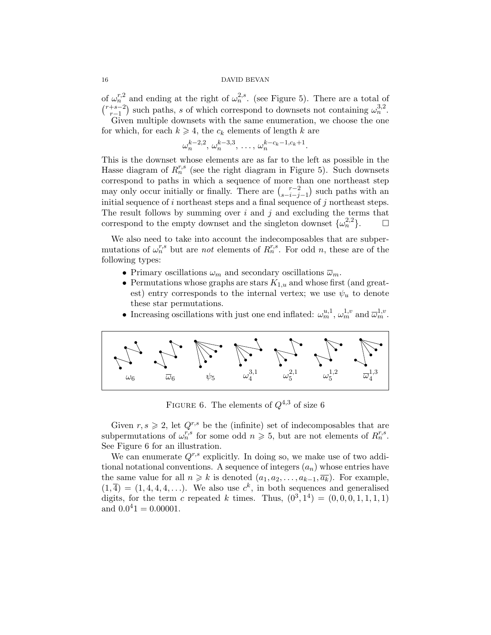of  $\omega_n^{r,2}$  and ending at the right of  $\omega_n^{2,s}$ . (see Figure 5). There are a total of  $\binom{r+s-2}{r-1}$ <sup>+s-2</sup>) such paths, s of which correspond to downsets not containing  $\omega_n^{3,2}$ . Given multiple downsets with the same enumeration, we choose the one

for which, for each  $k \geq 4$ , the  $c_k$  elements of length k are

$$
\omega_n^{k-2,2}, \omega_n^{k-3,3}, \ldots, \omega_n^{k-c_k-1,c_k+1}.
$$

This is the downset whose elements are as far to the left as possible in the Hasse diagram of  $R_n^{r,s}$  (see the right diagram in Figure 5). Such downsets correspond to paths in which a sequence of more than one northeast step may only occur initially or finally. There are  $\binom{r-2}{r-1}$  $s-i-j-1$ ) such paths with an initial sequence of  $i$  northeast steps and a final sequence of  $j$  northeast steps. The result follows by summing over  $i$  and  $j$  and excluding the terms that correspond to the empty downset and the singleton downset  $\{\omega_n^{2,2}\}.$ 

We also need to take into account the indecomposables that are subpermutations of  $\omega_n^{r,s}$  but are *not* elements of  $R_n^{r,s}$ . For odd *n*, these are of the following types:

- Primary oscillations  $\omega_m$  and secondary oscillations  $\overline{\omega}_m$ .
- Permutations whose graphs are stars  $K_{1,u}$  and whose first (and greatest) entry corresponds to the internal vertex; we use  $\psi_u$  to denote these star permutations.
- Increasing oscillations with just one end inflated:  $\omega_m^{u,1}, \omega_m^{1,v}$  and  $\overline{\omega}_m^{1,v}$ .



FIGURE 6. The elements of  $Q^{4,3}$  of size 6

Given  $r, s \geq 2$ , let  $Q^{r,s}$  be the (infinite) set of indecomposables that are subpermutations of  $\omega_n^{r,s}$  for some odd  $n \geq 5$ , but are not elements of  $R_n^{r,s}$ . See Figure 6 for an illustration.

We can enumerate  $Q^{r,s}$  explicitly. In doing so, we make use of two additional notational conventions. A sequence of integers  $(a_n)$  whose entries have the same value for all  $n \geq k$  is denoted  $(a_1, a_2, \ldots, a_{k-1}, \overline{a_k})$ . For example,  $(1,\overline{4}) = (1,4,4,4,\ldots)$ . We also use  $c^k$ , in both sequences and generalised digits, for the term c repeated k times. Thus,  $(0^3, 1^4) = (0, 0, 0, 1, 1, 1, 1)$ and  $0.0^41 = 0.00001$ .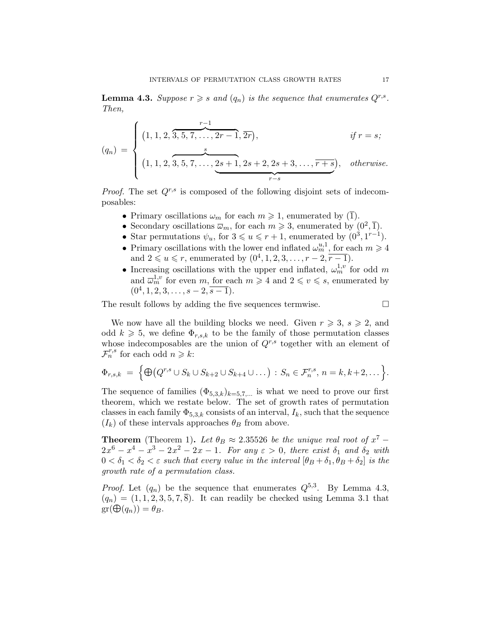**Lemma 4.3.** Suppose  $r \geq s$  and  $(q_n)$  is the sequence that enumerates  $Q^{r,s}$ . Then,

$$
(q_n) = \begin{cases} (1, 1, 2, \overbrace{3, 5, 7, \ldots, 2r-1}^{r-1}, \overbrace{2r}, & \text{if } r=s; \\ (1, 1, 2, \overbrace{3, 5, 7, \ldots, 2s+1}^{s}, 2s+2, 2s+3, \ldots, \overbrace{r+s}^{r-s}), & \text{otherwise.} \end{cases}
$$

*Proof.* The set  $Q^{r,s}$  is composed of the following disjoint sets of indecomposables:

- Primary oscillations  $\omega_m$  for each  $m \geq 1$ , enumerated by  $(\overline{1})$ .
- Secondary oscillations  $\overline{\omega}_m$ , for each  $m \geq 3$ , enumerated by  $(0^2, \overline{1})$ .
- Star permutations  $\psi_u$ , for  $3 \leq u \leq r+1$ , enumerated by  $(0^3, 1^{r-1})$ .
- Primary oscillations with the lower end inflated  $\omega_m^{u,1}$ , for each  $m \geq 4$ and  $2 \leq u \leq r$ , enumerated by  $(0^4, 1, 2, 3, ..., r - 2, \overline{r-1})$ .
- Increasing oscillations with the upper end inflated,  $\omega_m^{1,v}$  for odd m and  $\overline{\omega}_m^{1,v}$  for even m, for each  $m \geq 4$  and  $2 \leq v \leq s$ , enumerated by  $(0^4, 1, 2, 3, \ldots, s-2, \overline{s-1}).$

The result follows by adding the five sequences termwise.

We now have all the building blocks we need. Given  $r \geq 3$ ,  $s \geq 2$ , and odd  $k \geq 5$ , we define  $\Phi_{r,s,k}$  to be the family of those permutation classes whose indecomposables are the union of  $Q^{r,s}$  together with an element of  $\mathcal{F}_n^{r,s}$  for each odd  $n \geq k$ :

$$
\Phi_{r,s,k} = \Big\{ \bigoplus (Q^{r,s} \cup S_k \cup S_{k+2} \cup S_{k+4} \cup \dots) : S_n \in \mathcal{F}_n^{r,s}, n = k, k+2, \dots \Big\}.
$$

The sequence of families  $(\Phi_{5,3,k})_{k=5,7,...}$  is what we need to prove our first theorem, which we restate below. The set of growth rates of permutation classes in each family  $\Phi_{5,3,k}$  consists of an interval,  $I_k$ , such that the sequence  $(I_k)$  of these intervals approaches  $\theta_B$  from above.

**Theorem** (Theorem 1). Let  $\theta_B \approx 2.35526$  be the unique real root of  $x^7$  –  $2x^6 - x^4 - x^3 - 2x^2 - 2x - 1$ . For any  $\varepsilon > 0$ , there exist  $\delta_1$  and  $\delta_2$  with  $0 < \delta_1 < \delta_2 < \varepsilon$  such that every value in the interval  $[\theta_B + \delta_1, \theta_B + \delta_2]$  is the growth rate of a permutation class.

*Proof.* Let  $(q_n)$  be the sequence that enumerates  $Q^{5,3}$ . By Lemma 4.3,  $(q_n) = (1, 1, 2, 3, 5, 7, \overline{8})$ . It can readily be checked using Lemma 3.1 that  $gr(\bigoplus(q_n)) = \theta_B.$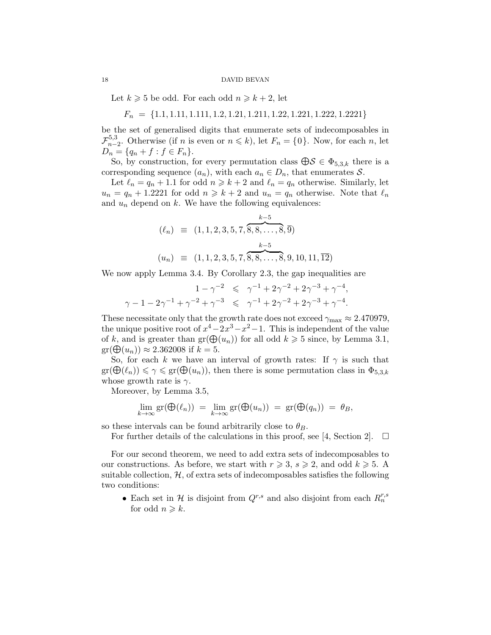Let  $k \geqslant 5$  be odd. For each odd  $n \geqslant k+2$ , let

$$
F_n = \{1.1, 1.11, 1.111, 1.2, 1.21, 1.211, 1.22, 1.221, 1.222, 1.2221\}
$$

be the set of generalised digits that enumerate sets of indecomposables in  $\mathcal{F}_{n-}^{5,3}$ <sup>5,3</sup><sub>n−2</sub>. Otherwise (if *n* is even or  $n \le k$ ), let  $F_n = \{0\}$ . Now, for each *n*, let  $D_n = \{q_n + f : f \in F_n\}.$ 

So, by construction, for every permutation class  $\bigoplus \mathcal{S} \in \Phi_{5,3,k}$  there is a corresponding sequence  $(a_n)$ , with each  $a_n \in D_n$ , that enumerates S.

Let  $\ell_n = q_n + 1.1$  for odd  $n \geq k + 2$  and  $\ell_n = q_n$  otherwise. Similarly, let  $u_n = q_n + 1.2221$  for odd  $n \geq k + 2$  and  $u_n = q_n$  otherwise. Note that  $\ell_n$ and  $u_n$  depend on k. We have the following equivalences:

$$
(\ell_n) \equiv (1, 1, 2, 3, 5, 7, \overbrace{8, 8, \dots, 8}^{k-5}, \overline{9})
$$

$$
(u_n) \equiv (1, 1, 2, 3, 5, 7, \overbrace{8, 8, \dots, 8}^{k-5}, 9, 10, 11, \overline{12})
$$

We now apply Lemma 3.4. By Corollary 2.3, the gap inequalities are

$$
\begin{array}{rcl} 1-\gamma^{-2} & \leqslant & \gamma^{-1}+2\gamma^{-2}+2\gamma^{-3}+\gamma^{-4}, \\ \gamma-1-2\gamma^{-1}+\gamma^{-2}+\gamma^{-3} & \leqslant & \gamma^{-1}+2\gamma^{-2}+2\gamma^{-3}+\gamma^{-4}. \end{array}
$$

These necessitate only that the growth rate does not exceed  $\gamma_{\text{max}} \approx 2.470979$ , the unique positive root of  $x^4 - 2x^3 - x^2 - 1$ . This is independent of the value of k, and is greater than  $gr(\bigoplus(u_n))$  for all odd  $k \geq 5$  since, by Lemma 3.1,  $gr(\bigoplus(u_n)) \approx 2.362008$  if  $k = 5$ .

So, for each k we have an interval of growth rates: If  $\gamma$  is such that  $\mathrm{gr}(\mathcal{D}(\ell_n)) \leq \gamma \leq \mathrm{gr}(\mathcal{D}(u_n))$ , then there is some permutation class in  $\Phi_{5,3,k}$ whose growth rate is  $\gamma$ .

Moreover, by Lemma 3.5,

$$
\lim_{k \to \infty} \mathrm{gr}(\bigoplus(\ell_n)) = \lim_{k \to \infty} \mathrm{gr}(\bigoplus(u_n)) = \mathrm{gr}(\bigoplus(q_n)) = \theta_B,
$$

so these intervals can be found arbitrarily close to  $\theta_B$ .

For further details of the calculations in this proof, see [4, Section 2].  $\Box$ 

For our second theorem, we need to add extra sets of indecomposables to our constructions. As before, we start with  $r \geq 3$ ,  $s \geq 2$ , and odd  $k \geq 5$ . A suitable collection,  $H$ , of extra sets of indecomposables satisfies the following two conditions:

• Each set in  $\mathcal{H}$  is disjoint from  $Q^{r,s}$  and also disjoint from each  $R_n^{r,s}$ for odd  $n \geq k$ .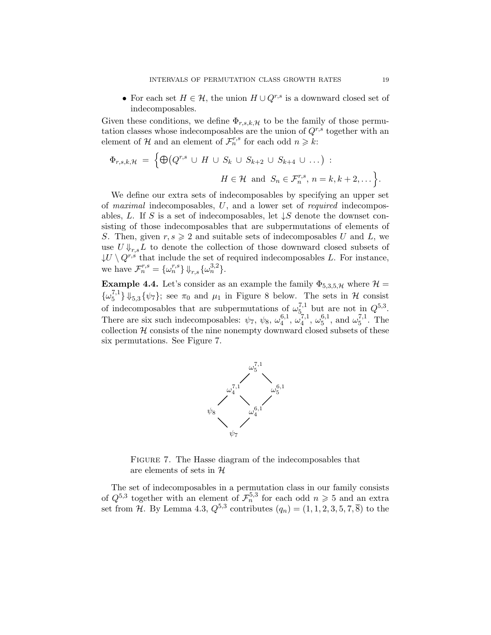• For each set  $H \in \mathcal{H}$ , the union  $H \cup Q^{r,s}$  is a downward closed set of indecomposables.

Given these conditions, we define  $\Phi_{r,s,k,\mathcal{H}}$  to be the family of those permutation classes whose indecomposables are the union of  $Q^{r,s}$  together with an element of H and an element of  $\mathcal{F}_n^{r,s}$  for each odd  $n \geq k$ :

$$
\Phi_{r,s,k,\mathcal{H}} = \Big\{ \bigoplus (Q^{r,s} \cup H \cup S_k \cup S_{k+2} \cup S_{k+4} \cup \dots) : \nH \in \mathcal{H} \text{ and } S_n \in \mathcal{F}_n^{r,s}, n = k, k+2, \dots \Big\}.
$$

We define our extra sets of indecomposables by specifying an upper set of maximal indecomposables, U, and a lower set of required indecomposables, L. If S is a set of indecomposables, let  $\downarrow S$  denote the downset consisting of those indecomposables that are subpermutations of elements of S. Then, given  $r, s \geq 2$  and suitable sets of indecomposables U and L, we use  $U \Downarrow_{r,s} L$  to denote the collection of those downward closed subsets of  $\downarrow U \setminus Q^{r,s}$  that include the set of required indecomposables L. For instance, we have  $\mathcal{F}_n^{r,s} = {\{\omega_n^{r,s}\}\ \psi_{r,s}\{\omega_n^{3,2}\}}.$ 

**Example 4.4.** Let's consider as an example the family  $\Phi_{5,3,5,\mathcal{H}}$  where  $\mathcal{H} =$  $\{\omega_5^{7,1}$  $\{\psi_5\}$   $\Downarrow_{5,3}$  { $\psi_7$ }; see  $\pi_0$  and  $\mu_1$  in Figure 8 below. The sets in H consist of indecomposables that are subpermutations of  $\omega_5^{7,1}$  $\frac{7}{5}$  but are not in  $Q^{5,3}$ . There are six such indecomposables:  $\psi_7$ ,  $\psi_8$ ,  $\omega_4^{6,1}$  $\frac{6,1}{4}$ ,  $\omega_4^{7,1}$  $\frac{7}{4}$ ,  $\omega_5^{6,1}$  $_{5}^{6,1}$ , and  $\omega_{5}^{7,1}$  $i<sub>5</sub><sup>t,1</sup>$ . The collection  $H$  consists of the nine nonempty downward closed subsets of these six permutations. See Figure 7.



Figure 7. The Hasse diagram of the indecomposables that are elements of sets in  $H$ 

The set of indecomposables in a permutation class in our family consists of  $Q^{5,3}$  together with an element of  $\mathcal{F}_n^{5,3}$  for each odd  $n \geq 5$  and an extra set from H. By Lemma 4.3,  $Q^{5,3}$  contributes  $(q_n) = (1, 1, 2, 3, 5, 7, 8)$  to the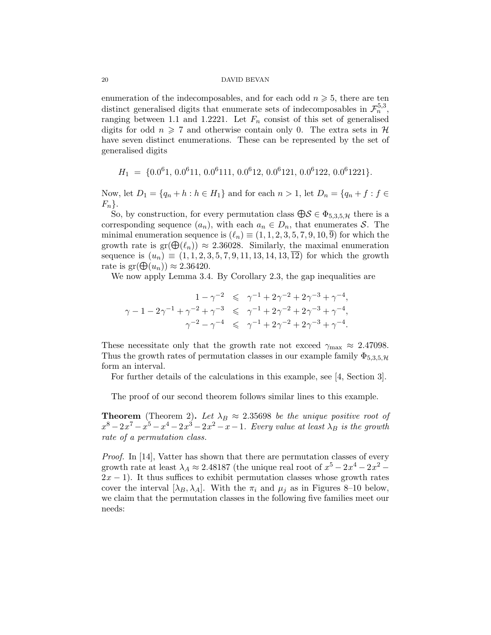enumeration of the indecomposables, and for each odd  $n \geqslant 5$ , there are ten distinct generalised digits that enumerate sets of indecomposables in  $\mathcal{F}_n^{5,3}$ , ranging between 1.1 and 1.2221. Let  $F_n$  consist of this set of generalised digits for odd  $n \geq 7$  and otherwise contain only 0. The extra sets in H have seven distinct enumerations. These can be represented by the set of generalised digits

$$
H_1 = \{0.0^61, 0.0^611, 0.0^6111, 0.0^612, 0.0^6121, 0.0^6122, 0.0^61221\}.
$$

Now, let  $D_1 = \{q_n + h : h \in H_1\}$  and for each  $n > 1$ , let  $D_n = \{q_n + f : f \in H_1\}$  $F_n$ .

So, by construction, for every permutation class  $\bigoplus \mathcal{S} \in \Phi_{5,3,5,\mathcal{H}}$  there is a corresponding sequence  $(a_n)$ , with each  $a_n \in D_n$ , that enumerates S. The minimal enumeration sequence is  $(\ell_n) \equiv (1, 1, 2, 3, 5, 7, 9, 10, 9)$  for which the growth rate is  $gr(\bigoplus(\ell_n)) \approx 2.36028$ . Similarly, the maximal enumeration sequence is  $(u_n) \equiv (1, 1, 2, 3, 5, 7, 9, 11, 13, 14, 13, 12)$  for which the growth rate is  $gr(\bigoplus(u_n)) \approx 2.36420$ .

We now apply Lemma 3.4. By Corollary 2.3, the gap inequalities are

$$
\begin{array}{rcl} &1-\gamma^{-2}&\leqslant&\gamma^{-1}+2\gamma^{-2}+2\gamma^{-3}+\gamma^{-4},\\ \gamma-1-2\gamma^{-1}+\gamma^{-2}+\gamma^{-3}&\leqslant&\gamma^{-1}+2\gamma^{-2}+2\gamma^{-3}+\gamma^{-4},\\ &\gamma^{-2}-\gamma^{-4}&\leqslant&\gamma^{-1}+2\gamma^{-2}+2\gamma^{-3}+\gamma^{-4}.\\ \end{array}
$$

These necessitate only that the growth rate not exceed  $\gamma_{\text{max}} \approx 2.47098$ . Thus the growth rates of permutation classes in our example family  $\Phi_{5,3,5,\mathcal{H}}$ form an interval.

For further details of the calculations in this example, see [4, Section 3].

The proof of our second theorem follows similar lines to this example.

**Theorem** (Theorem 2). Let  $\lambda_B \approx 2.35698$  be the unique positive root of  $x^8 - 2x^7 - x^5 - x^4 - 2x^3 - 2x^2 - x - 1$ . Every value at least  $\lambda_B$  is the growth rate of a permutation class.

Proof. In [14], Vatter has shown that there are permutation classes of every growth rate at least  $\lambda_A \approx 2.48187$  (the unique real root of  $x^5 - 2x^4 - 2x^2$  –  $2x - 1$ ). It thus suffices to exhibit permutation classes whose growth rates cover the interval  $[\lambda_B, \lambda_A]$ . With the  $\pi_i$  and  $\mu_j$  as in Figures 8–10 below, we claim that the permutation classes in the following five families meet our needs: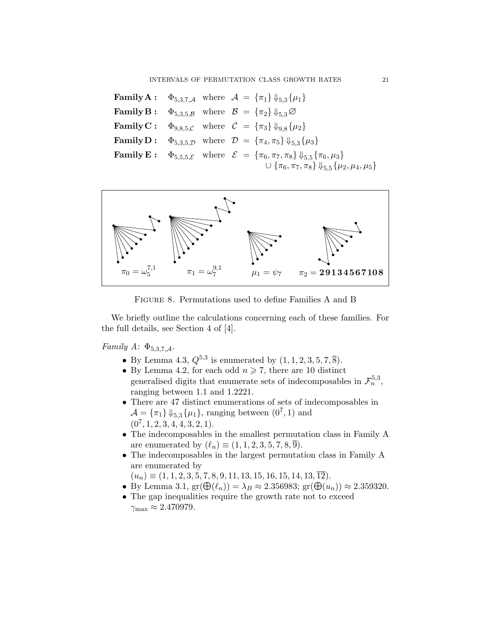**Family A :**  $\Phi_{5,3,7,\mathcal{A}}$  where  $\mathcal{A} = {\pi_1} \big\{ \big| \big\{ \xi_3 \big\} \mu_1 \big\}$ **Family B** :  $\Phi_{5,3,5,\mathcal{B}}$  where  $\mathcal{B} = {\pi_2} \downarrow_{5,3} \varnothing$ **Family C:**  $\Phi_{9,8,5,\mathcal{C}}$  where  $\mathcal{C} = {\pi_3} \big\downarrow_{9,8} {\{\mu_2\}}$ **Family D :**  $\Phi_{5,3,5,\mathcal{D}}$  where  $\mathcal{D} = {\pi_4, \pi_5} \big\{ \psi_{5,3} {\mu_3}$ **Family E**:  $\Phi_{5,5,5,\mathcal{E}}$  where  $\mathcal{E} = {\pi_6, \pi_7, \pi_8} \downarrow_{5,5} {\pi_6, \mu_3}$  $\cup$  { $\pi_6$ ,  $\pi_7$ ,  $\pi_8$ }  $\downarrow$ <sub>5,5</sub>{ $\mu_2$ ,  $\mu_4$ ,  $\mu_5$ }



Figure 8. Permutations used to define Families A and B

We briefly outline the calculations concerning each of these families. For the full details, see Section 4 of [4].

Family A:  $\Phi_{5,3,7,\mathcal{A}}$ .

- By Lemma 4.3,  $Q^{5,3}$  is enumerated by  $(1, 1, 2, 3, 5, 7, \overline{8})$ .
- By Lemma 4.2, for each odd  $n \geq 7$ , there are 10 distinct generalised digits that enumerate sets of indecomposables in  $\mathcal{F}_n^{5,3}$ , ranging between 1.1 and 1.2221.
- There are 47 distinct enumerations of sets of indecomposables in  $A = {\pi_1} \big\} \big\downarrow_{5,3} {\{\mu_1\}}$ , ranging between  $(0^7, 1)$  and  $(0^7, 1, 2, 3, 4, 4, 3, 2, 1).$
- The indecomposables in the smallest permutation class in Family A are enumerated by  $(\ell_n) \equiv (1, 1, 2, 3, 5, 7, 8, \overline{9}).$
- The indecomposables in the largest permutation class in Family A are enumerated by
	- $(u_n) \equiv (1, 1, 2, 3, 5, 7, 8, 9, 11, 13, 15, 16, 15, 14, 13, \overline{12}).$
- By Lemma 3.1,  $gr(\bigoplus(\ell_n)) = \lambda_B \approx 2.356983$ ;  $gr(\bigoplus(u_n)) \approx 2.359320$ .
- The gap inequalities require the growth rate not to exceed  $\gamma_{\text{max}} \approx 2.470979.$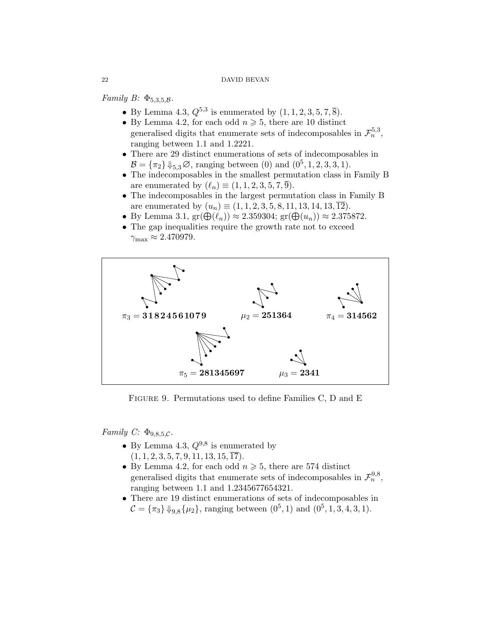Family B:  $\Phi_{5,3,5,\mathcal{B}}$ .

- By Lemma 4.3,  $Q^{5,3}$  is enumerated by  $(1, 1, 2, 3, 5, 7, \overline{8})$ .
- By Lemma 4.2, for each odd  $n \geq 5$ , there are 10 distinct generalised digits that enumerate sets of indecomposables in  $\mathcal{F}_n^{5,3}$ , ranging between 1.1 and 1.2221.
- There are 29 distinct enumerations of sets of indecomposables in  $\mathcal{B} = {\pi_2} \bigcup_{5,3} \emptyset$ , ranging between (0) and (0<sup>5</sup>, 1, 2, 3, 3, 1).
- The indecomposables in the smallest permutation class in Family B are enumerated by  $(\ell_n) \equiv (1, 1, 2, 3, 5, 7, \overline{9}).$
- The indecomposables in the largest permutation class in Family B are enumerated by  $(u_n) \equiv (1, 1, 2, 3, 5, 8, 11, 13, 14, 13, \overline{12}).$
- By Lemma 3.1,  $gr(\bigoplus(\ell_n)) \approx 2.359304$ ;  $gr(\bigoplus(u_n)) \approx 2.375872$ .
- The gap inequalities require the growth rate not to exceed  $\gamma_{\text{max}} \approx 2.470979.$



FIGURE 9. Permutations used to define Families C, D and E

Family C:  $\Phi_{9,8,5,\mathcal{C}}$ .

- By Lemma 4.3,  $Q^{9,8}$  is enumerated by  $(1, 1, 2, 3, 5, 7, 9, 11, 13, 15, \overline{17}).$
- By Lemma 4.2, for each odd  $n \geq 5$ , there are 574 distinct generalised digits that enumerate sets of indecomposables in  $\mathcal{F}_n^{9,8}$ , ranging between 1.1 and 1.2345677654321.
- There are 19 distinct enumerations of sets of indecomposables in  $C = {\pi_3} \big\} \big\downarrow_{9,8} {\{\mu_2\}}, \text{ ranging between } (0^5, 1) \text{ and } (0^5, 1, 3, 4, 3, 1).$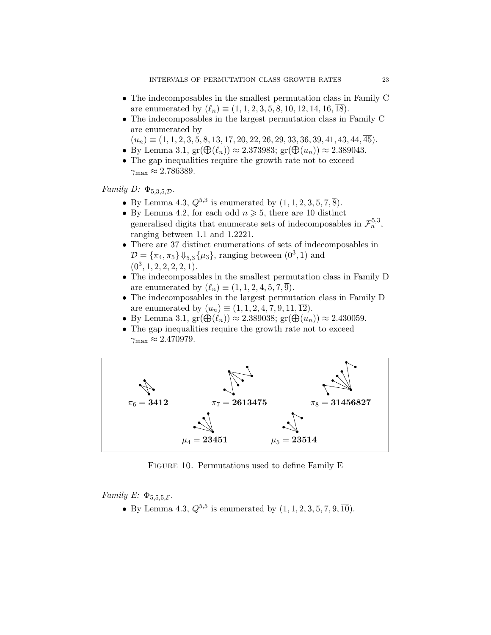- The indecomposables in the smallest permutation class in Family C are enumerated by  $(\ell_n) \equiv (1, 1, 2, 3, 5, 8, 10, 12, 14, 16, \overline{18}).$
- The indecomposables in the largest permutation class in Family C are enumerated by
	- $(u_n) \equiv (1, 1, 2, 3, 5, 8, 13, 17, 20, 22, 26, 29, 33, 36, 39, 41, 43, 44, \overline{45}).$
- By Lemma 3.1,  $gr(\bigoplus(\ell_n)) \approx 2.373983$ ;  $gr(\bigoplus(u_n)) \approx 2.389043$ .
- The gap inequalities require the growth rate not to exceed  $\gamma_{\text{max}} \approx 2.786389.$

Family D:  $\Phi_{5,3,5,\mathcal{D}}$ .

- By Lemma 4.3,  $Q^{5,3}$  is enumerated by  $(1, 1, 2, 3, 5, 7, \overline{8})$ .
- By Lemma 4.2, for each odd  $n \geq 5$ , there are 10 distinct generalised digits that enumerate sets of indecomposables in  $\mathcal{F}_n^{5,3}$ , ranging between 1.1 and 1.2221.
- There are 37 distinct enumerations of sets of indecomposables in  $\mathcal{D} = {\pi_4, \pi_5} \cup_{5,3} {\mu_3}$ , ranging between  $(0^3, 1)$  and  $(0^3, 1, 2, 2, 2, 2, 1).$
- The indecomposables in the smallest permutation class in Family D are enumerated by  $(\ell_n) \equiv (1, 1, 2, 4, 5, 7, \overline{9}).$
- The indecomposables in the largest permutation class in Family D are enumerated by  $(u_n) \equiv (1, 1, 2, 4, 7, 9, 11, \overline{12}).$
- By Lemma 3.1,  $gr(\bigoplus(\ell_n)) \approx 2.389038$ ;  $gr(\bigoplus(u_n)) \approx 2.430059$ .
- The gap inequalities require the growth rate not to exceed  $\gamma_{\text{max}} \approx 2.470979.$



Figure 10. Permutations used to define Family E

Family E:  $\Phi_{5.5.5.5.}$ .

• By Lemma 4.3,  $Q^{5,5}$  is enumerated by  $(1, 1, 2, 3, 5, 7, 9, \overline{10})$ .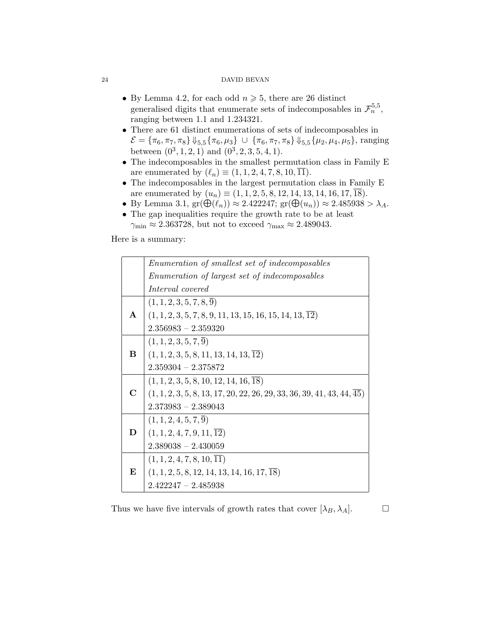- By Lemma 4.2, for each odd  $n \geq 5$ , there are 26 distinct generalised digits that enumerate sets of indecomposables in  $\mathcal{F}_n^{5,5}$ , ranging between 1.1 and 1.234321.
- There are 61 distinct enumerations of sets of indecomposables in  $\mathcal{E} = {\pi_6, \pi_7, \pi_8} \cup_{5.5} {\pi_6, \mu_3} \cup {\pi_6, \pi_7, \pi_8} \cup_{5.5} {\mu_2, \mu_4, \mu_5},$  ranging between  $(0^3, 1, 2, 1)$  and  $(0^3, 2, 3, 5, 4, 1)$ .
- The indecomposables in the smallest permutation class in Family E are enumerated by  $(\ell_n) \equiv (1, 1, 2, 4, 7, 8, 10, \overline{11}).$
- The indecomposables in the largest permutation class in Family E are enumerated by  $(u_n) \equiv (1, 1, 2, 5, 8, 12, 14, 13, 14, 16, 17, \overline{18}).$
- By Lemma 3.1,  $\mathrm{gr}(\bigoplus(\ell_n)) \approx 2.422247$ ;  $\mathrm{gr}(\bigoplus(u_n)) \approx 2.485938 > \lambda_A$ .
- The gap inequalities require the growth rate to be at least  $\gamma_{\rm min} \approx 2.363728$ , but not to exceed  $\gamma_{\rm max} \approx 2.489043$ .

Here is a summary:

|              | <i>Enumeration of smallest set of indecomposables</i>                               |  |  |
|--------------|-------------------------------------------------------------------------------------|--|--|
|              | <i>Enumeration of largest set of indecomposables</i>                                |  |  |
|              | Interval covered                                                                    |  |  |
|              | $(1, 1, 2, 3, 5, 7, 8, \overline{9})$                                               |  |  |
| $\mathbf{A}$ | $(1, 1, 2, 3, 5, 7, 8, 9, 11, 13, 15, 16, 15, 14, 13, 12)$                          |  |  |
|              | $2.356983 - 2.359320$                                                               |  |  |
|              | $(1, 1, 2, 3, 5, 7, \overline{9})$                                                  |  |  |
| B            | $(1, 1, 2, 3, 5, 8, 11, 13, 14, 13, 12)$                                            |  |  |
|              | $2.359304 - 2.375872$                                                               |  |  |
|              | $(1, 1, 2, 3, 5, 8, 10, 12, 14, 16, 18)$                                            |  |  |
| C            | $(1, 1, 2, 3, 5, 8, 13, 17, 20, 22, 26, 29, 33, 36, 39, 41, 43, 44, \overline{45})$ |  |  |
|              | $2.373983 - 2.389043$                                                               |  |  |
|              | $(1, 1, 2, 4, 5, 7, \overline{9})$                                                  |  |  |
| D            | $(1, 1, 2, 4, 7, 9, 11, \overline{12})$                                             |  |  |
|              | $2.389038 - 2.430059$                                                               |  |  |
|              | (1, 1, 2, 4, 7, 8, 10, 11)                                                          |  |  |
| E            | $(1, 1, 2, 5, 8, 12, 14, 13, 14, 16, 17, \overline{18})$                            |  |  |
|              | $2.422247 - 2.485938$                                                               |  |  |

Thus we have five intervals of growth rates that cover  $[\lambda_B, \lambda_A]$ .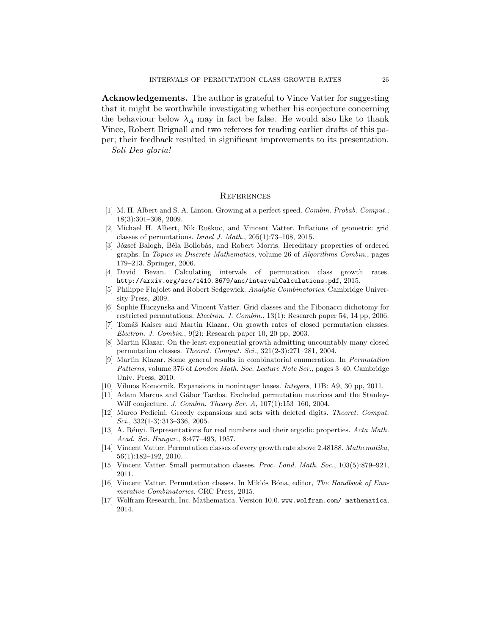Acknowledgements. The author is grateful to Vince Vatter for suggesting that it might be worthwhile investigating whether his conjecture concerning the behaviour below  $\lambda_A$  may in fact be false. He would also like to thank Vince, Robert Brignall and two referees for reading earlier drafts of this paper; their feedback resulted in significant improvements to its presentation.

Soli Deo gloria!

### **REFERENCES**

- [1] M. H. Albert and S. A. Linton. Growing at a perfect speed. Combin. Probab. Comput., 18(3):301–308, 2009.
- [2] Michael H. Albert, Nik Ruškuc, and Vincent Vatter. Inflations of geometric grid classes of permutations. Israel J. Math., 205(1):73–108, 2015.
- [3] József Balogh, Béla Bollobás, and Robert Morris. Hereditary properties of ordered graphs. In Topics in Discrete Mathematics, volume 26 of Algorithms Combin., pages 179–213. Springer, 2006.
- [4] David Bevan. Calculating intervals of permutation class growth rates. http://arxiv.org/src/1410.3679/anc/intervalCalculations.pdf, 2015.
- [5] Philippe Flajolet and Robert Sedgewick. Analytic Combinatorics. Cambridge University Press, 2009.
- [6] Sophie Huczynska and Vincent Vatter. Grid classes and the Fibonacci dichotomy for restricted permutations. Electron. J. Combin., 13(1): Research paper 54, 14 pp, 2006.
- [7] Tomáš Kaiser and Martin Klazar. On growth rates of closed permutation classes. Electron. J. Combin., 9(2): Research paper 10, 20 pp, 2003.
- [8] Martin Klazar. On the least exponential growth admitting uncountably many closed permutation classes. Theoret. Comput. Sci., 321(2-3):271–281, 2004.
- [9] Martin Klazar. Some general results in combinatorial enumeration. In Permutation Patterns, volume 376 of London Math. Soc. Lecture Note Ser., pages 3–40. Cambridge Univ. Press, 2010.
- [10] Vilmos Komornik. Expansions in noninteger bases. Integers, 11B: A9, 30 pp, 2011.
- [11] Adam Marcus and Gábor Tardos. Excluded permutation matrices and the Stanley-Wilf conjecture. J. Combin. Theory Ser. A, 107(1):153–160, 2004.
- [12] Marco Pedicini. Greedy expansions and sets with deleted digits. Theoret. Comput. Sci., 332(1-3):313–336, 2005.
- [13] A. Rényi. Representations for real numbers and their ergodic properties. Acta Math. Acad. Sci. Hungar., 8:477–493, 1957.
- [14] Vincent Vatter. Permutation classes of every growth rate above 2.48188. Mathematika, 56(1):182–192, 2010.
- [15] Vincent Vatter. Small permutation classes. Proc. Lond. Math. Soc., 103(5):879–921, 2011.
- [16] Vincent Vatter. Permutation classes. In Miklós Bóna, editor, The Handbook of Enumerative Combinatorics. CRC Press, 2015.
- [17] Wolfram Research, Inc. Mathematica. Version 10.0. www.wolfram.com/ mathematica, 2014.